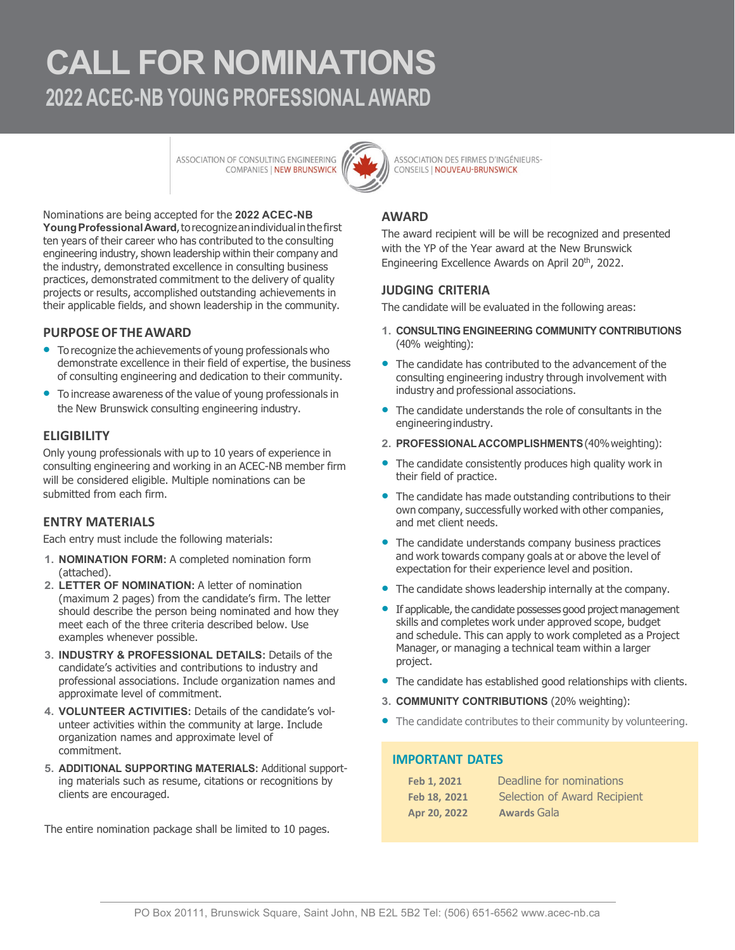# **CALL FOR NOMINATIONS 2022 ACEC-NB YOUNG PROFESSIONAL AWARD**

ASSOCIATION OF CONSULTING ENGINEERING COMPANIES | NEW BRUNSWICK



ASSOCIATION DES FIRMES D'INGÉNIEURS-CONSEILS | NOUVEAU-BRUNSWICK

Nominations are being accepted for the **2022 ACEC-NB YoungProfessionalAward**,torecognizeanindividual inthefirst ten years of their career who has contributed to the consulting engineering industry, shown leadership within their company and the industry, demonstrated excellence in consulting business practices, demonstrated commitment to the delivery of quality projects or results, accomplished outstanding achievements in their applicable fields, and shown leadership in the community.

#### **PURPOSEOF THEAWARD**

- **•** To recognize the achievements of young professionals who demonstrate excellence in their field of expertise, the business of consulting engineering and dedication to their community.
- To increase awareness of the value of young professionals in the New Brunswick consulting engineering industry.

#### **ELIGIBILITY**

Only young professionals with up to 10 years of experience in consulting engineering and working in an ACEC-NB member firm will be considered eligible. Multiple nominations can be submitted from each firm.

#### **ENTRY MATERIALS**

Each entry must include the following materials:

- **1. NOMINATION FORM:** A completed nomination form (attached).
- **2. LETTER OF NOMINATION:** A letter of nomination (maximum 2 pages) from the candidate's firm. The letter should describe the person being nominated and how they meet each of the three criteria described below. Use examples whenever possible.
- **3. INDUSTRY & PROFESSIONAL DETAILS:** Details of the candidate's activities and contributions to industry and professional associations. Include organization names and approximate level of commitment.
- **4. VOLUNTEER ACTIVITIES:** Details of the candidate's volunteer activities within the community at large. Include organization names and approximate level of commitment.
- **5. ADDITIONAL SUPPORTING MATERIALS:** Additional supporting materials such as resume, citations or recognitions by clients are encouraged.

The entire nomination package shall be limited to 10 pages.

### **AWARD**

The award recipient will be will be recognized and presented with the YP of the Year award at the New Brunswick Engineering Excellence Awards on April 20th, 2022.

#### **JUDGING CRITERIA**

The candidate will be evaluated in the following areas:

- **1. CONSULTING ENGINEERING COMMUNITY CONTRIBUTIONS** (40% weighting):
- The candidate has contributed to the advancement of the consulting engineering industry through involvement with industry and professional associations.
- The candidate understands the role of consultants in the engineering industry.
- **2. PROFESSIONALACCOMPLISHMENTS**(40%weighting):
- The candidate consistently produces high quality work in their field of practice.
- The candidate has made outstanding contributions to their own company, successfully worked with other companies, and met client needs.
- The candidate understands company business practices and work towards company goals at or above the level of expectation for their experience level and position.
- The candidate shows leadership internally at the company.
- If applicable, the candidate possesses good project management skills and completes work under approved scope, budget and schedule. This can apply to work completed as a Project Manager, or managing a technical team within a larger project.
- The candidate has established good relationships with clients.
- **3. COMMUNITY CONTRIBUTIONS** (20% weighting):
- The candidate contributes to their community by volunteering.

#### **IMPORTANT DATES**

| Feb 1, 2021  | Deadline for nominations     |
|--------------|------------------------------|
| Feb 18, 2021 | Selection of Award Recipient |
| Apr 20, 2022 | <b>Awards Gala</b>           |